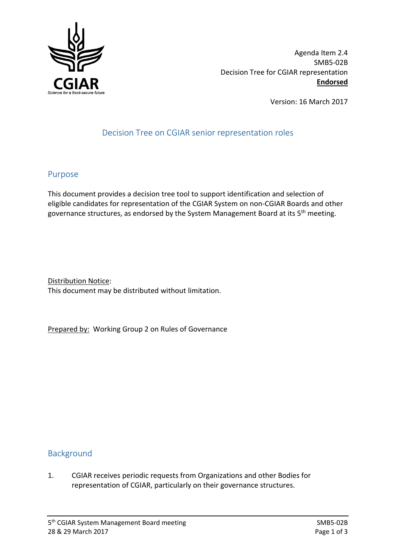

Agenda Item 2.4 SMB5-02B Decision Tree for CGIAR representation **Endorsed**

Version: 16 March 2017

## Decision Tree on CGIAR senior representation roles

## Purpose

This document provides a decision tree tool to support identification and selection of eligible candidates for representation of the CGIAR System on non-CGIAR Boards and other governance structures, as endorsed by the System Management Board at its 5<sup>th</sup> meeting.

Distribution Notice: This document may be distributed without limitation.

Prepared by: Working Group 2 on Rules of Governance

## Background

1. CGIAR receives periodic requests from Organizations and other Bodies for representation of CGIAR, particularly on their governance structures.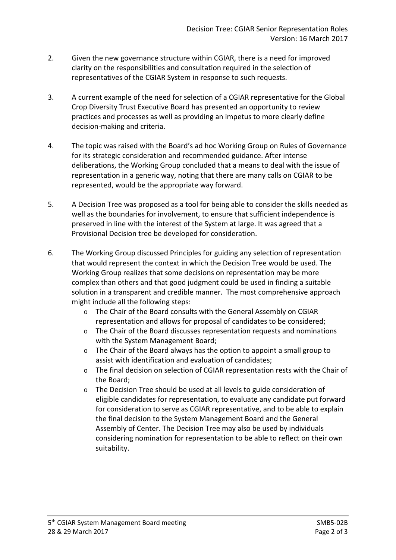- 2. Given the new governance structure within CGIAR, there is a need for improved clarity on the responsibilities and consultation required in the selection of representatives of the CGIAR System in response to such requests.
- 3. A current example of the need for selection of a CGIAR representative for the Global Crop Diversity Trust Executive Board has presented an opportunity to review practices and processes as well as providing an impetus to more clearly define decision-making and criteria.
- 4. The topic was raised with the Board's ad hoc Working Group on Rules of Governance for its strategic consideration and recommended guidance. After intense deliberations, the Working Group concluded that a means to deal with the issue of representation in a generic way, noting that there are many calls on CGIAR to be represented, would be the appropriate way forward.
- 5. A Decision Tree was proposed as a tool for being able to consider the skills needed as well as the boundaries for involvement, to ensure that sufficient independence is preserved in line with the interest of the System at large. It was agreed that a Provisional Decision tree be developed for consideration.
- 6. The Working Group discussed Principles for guiding any selection of representation that would represent the context in which the Decision Tree would be used. The Working Group realizes that some decisions on representation may be more complex than others and that good judgment could be used in finding a suitable solution in a transparent and credible manner. The most comprehensive approach might include all the following steps:
	- o The Chair of the Board consults with the General Assembly on CGIAR representation and allows for proposal of candidates to be considered;
	- $\circ$  The Chair of the Board discusses representation requests and nominations with the System Management Board;
	- o The Chair of the Board always has the option to appoint a small group to assist with identification and evaluation of candidates;
	- o The final decision on selection of CGIAR representation rests with the Chair of the Board;
	- o The Decision Tree should be used at all levels to guide consideration of eligible candidates for representation, to evaluate any candidate put forward for consideration to serve as CGIAR representative, and to be able to explain the final decision to the System Management Board and the General Assembly of Center. The Decision Tree may also be used by individuals considering nomination for representation to be able to reflect on their own suitability.